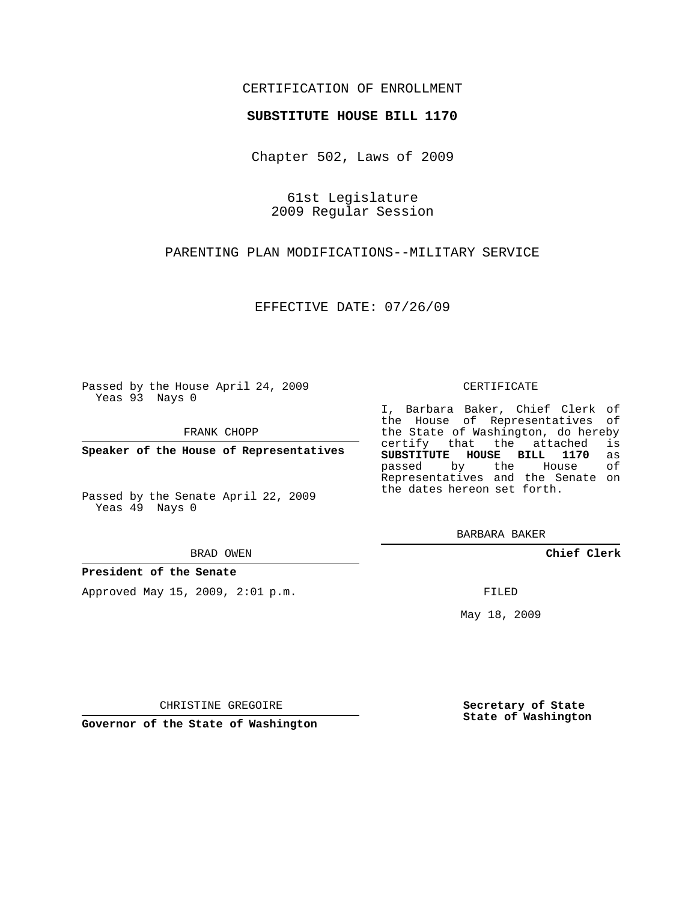## CERTIFICATION OF ENROLLMENT

### **SUBSTITUTE HOUSE BILL 1170**

Chapter 502, Laws of 2009

61st Legislature 2009 Regular Session

PARENTING PLAN MODIFICATIONS--MILITARY SERVICE

EFFECTIVE DATE: 07/26/09

Passed by the House April 24, 2009 Yeas 93 Nays 0

FRANK CHOPP

**Speaker of the House of Representatives**

Passed by the Senate April 22, 2009 Yeas 49 Nays 0

#### BRAD OWEN

**President of the Senate**

Approved May 15, 2009, 2:01 p.m.

#### CERTIFICATE

I, Barbara Baker, Chief Clerk of the House of Representatives of the State of Washington, do hereby<br>certify that the attached is certify that the attached **SUBSTITUTE HOUSE BILL 1170** as passed by the House Representatives and the Senate on the dates hereon set forth.

BARBARA BAKER

**Chief Clerk**

FILED

May 18, 2009

**Secretary of State State of Washington**

CHRISTINE GREGOIRE

**Governor of the State of Washington**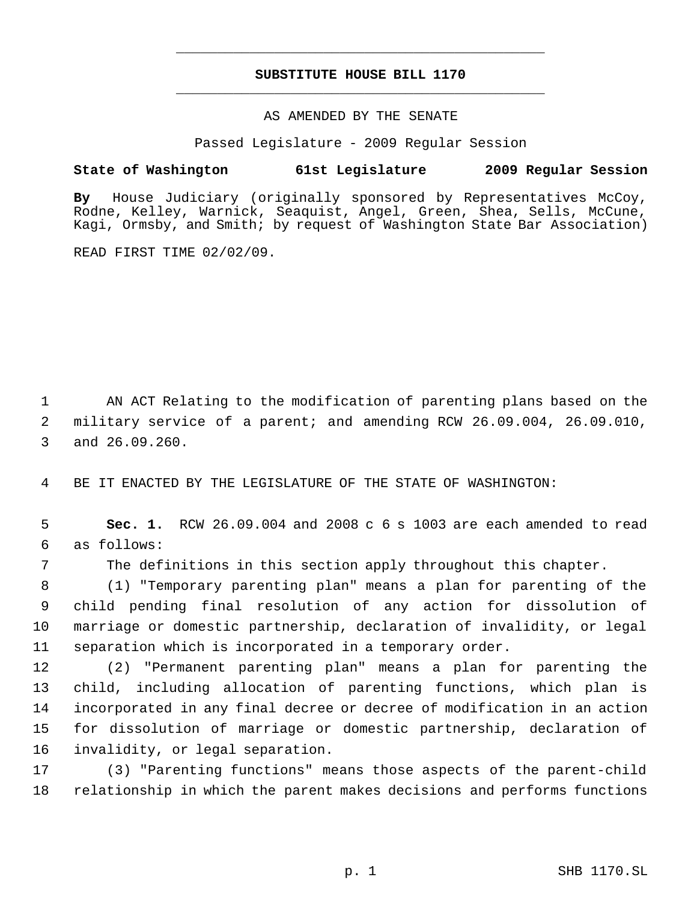# **SUBSTITUTE HOUSE BILL 1170** \_\_\_\_\_\_\_\_\_\_\_\_\_\_\_\_\_\_\_\_\_\_\_\_\_\_\_\_\_\_\_\_\_\_\_\_\_\_\_\_\_\_\_\_\_

\_\_\_\_\_\_\_\_\_\_\_\_\_\_\_\_\_\_\_\_\_\_\_\_\_\_\_\_\_\_\_\_\_\_\_\_\_\_\_\_\_\_\_\_\_

### AS AMENDED BY THE SENATE

Passed Legislature - 2009 Regular Session

## **State of Washington 61st Legislature 2009 Regular Session**

**By** House Judiciary (originally sponsored by Representatives McCoy, Rodne, Kelley, Warnick, Seaquist, Angel, Green, Shea, Sells, McCune, Kagi, Ormsby, and Smith; by request of Washington State Bar Association)

READ FIRST TIME 02/02/09.

 AN ACT Relating to the modification of parenting plans based on the military service of a parent; and amending RCW 26.09.004, 26.09.010, and 26.09.260.

BE IT ENACTED BY THE LEGISLATURE OF THE STATE OF WASHINGTON:

 **Sec. 1.** RCW 26.09.004 and 2008 c 6 s 1003 are each amended to read as follows:

The definitions in this section apply throughout this chapter.

 (1) "Temporary parenting plan" means a plan for parenting of the child pending final resolution of any action for dissolution of marriage or domestic partnership, declaration of invalidity, or legal separation which is incorporated in a temporary order.

 (2) "Permanent parenting plan" means a plan for parenting the child, including allocation of parenting functions, which plan is incorporated in any final decree or decree of modification in an action for dissolution of marriage or domestic partnership, declaration of invalidity, or legal separation.

 (3) "Parenting functions" means those aspects of the parent-child relationship in which the parent makes decisions and performs functions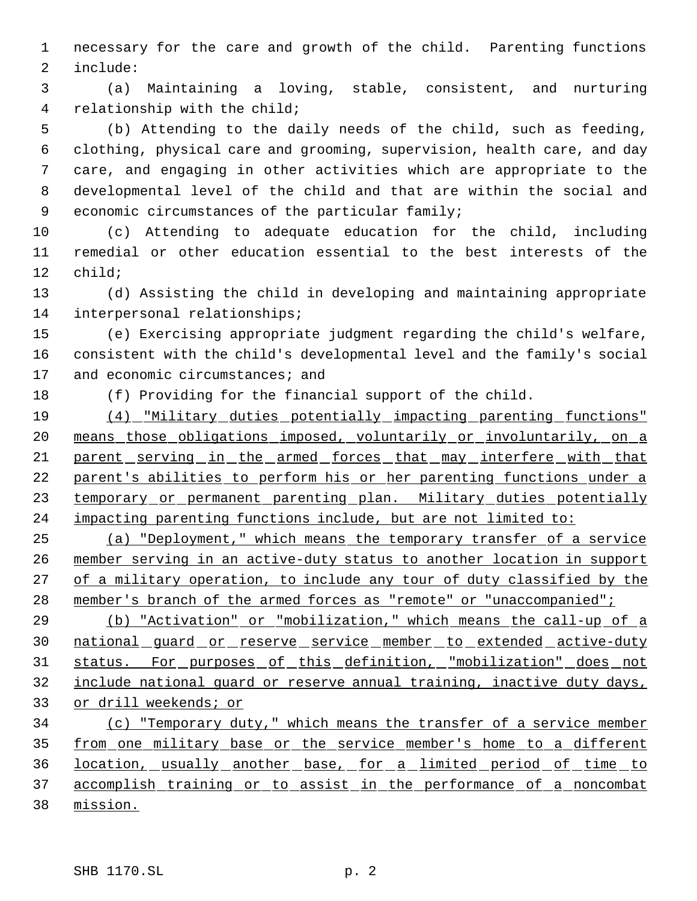necessary for the care and growth of the child. Parenting functions include:

 (a) Maintaining a loving, stable, consistent, and nurturing relationship with the child;

 (b) Attending to the daily needs of the child, such as feeding, clothing, physical care and grooming, supervision, health care, and day care, and engaging in other activities which are appropriate to the developmental level of the child and that are within the social and economic circumstances of the particular family;

 (c) Attending to adequate education for the child, including remedial or other education essential to the best interests of the child;

 (d) Assisting the child in developing and maintaining appropriate interpersonal relationships;

 (e) Exercising appropriate judgment regarding the child's welfare, consistent with the child's developmental level and the family's social 17 and economic circumstances; and

(f) Providing for the financial support of the child.

 (4) "Military duties potentially impacting parenting functions" means those obligations imposed, voluntarily or involuntarily, on a 21 parent serving in the armed forces that may interfere with that parent's abilities to perform his or her parenting functions under a 23 temporary or permanent parenting plan. Military duties potentially impacting parenting functions include, but are not limited to:

 (a) "Deployment," which means the temporary transfer of a service member serving in an active-duty status to another location in support 27 of a military operation, to include any tour of duty classified by the 28 member's branch of the armed forces as "remote" or "unaccompanied";

 (b) "Activation" or "mobilization," which means the call-up of a 30 national guard or reserve service member to extended active-duty status. For purposes of this definition, "mobilization" does not include national guard or reserve annual training, inactive duty days, or drill weekends; or

 (c) "Temporary duty," which means the transfer of a service member from one military base or the service member's home to a different location, usually another base, for a limited period of time to accomplish training or to assist in the performance of a noncombat mission.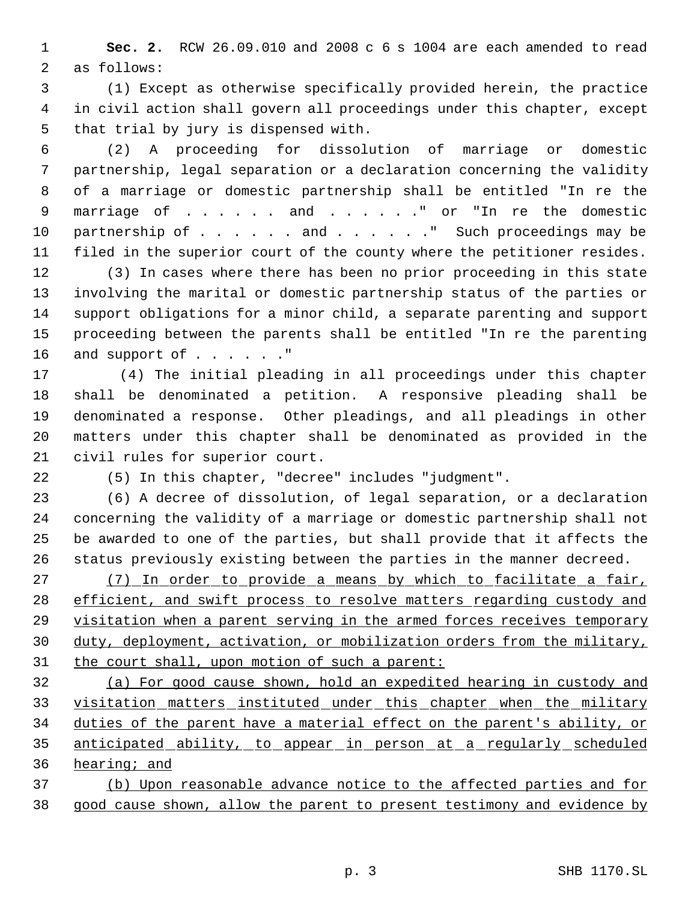**Sec. 2.** RCW 26.09.010 and 2008 c 6 s 1004 are each amended to read as follows:

 (1) Except as otherwise specifically provided herein, the practice in civil action shall govern all proceedings under this chapter, except that trial by jury is dispensed with.

 (2) A proceeding for dissolution of marriage or domestic partnership, legal separation or a declaration concerning the validity of a marriage or domestic partnership shall be entitled "In re the marriage of . . . . . . and . . . . . ." or "In re the domestic 10 partnership of . . . . . and . . . . . " Such proceedings may be filed in the superior court of the county where the petitioner resides.

 (3) In cases where there has been no prior proceeding in this state involving the marital or domestic partnership status of the parties or support obligations for a minor child, a separate parenting and support proceeding between the parents shall be entitled "In re the parenting 16 and support of . . . . . . "

17 (4) The initial pleading in all proceedings under this chapter shall be denominated a petition. A responsive pleading shall be denominated a response. Other pleadings, and all pleadings in other matters under this chapter shall be denominated as provided in the civil rules for superior court.

(5) In this chapter, "decree" includes "judgment".

 (6) A decree of dissolution, of legal separation, or a declaration concerning the validity of a marriage or domestic partnership shall not be awarded to one of the parties, but shall provide that it affects the status previously existing between the parties in the manner decreed.

 (7) In order to provide a means by which to facilitate a fair, 28 efficient, and swift process to resolve matters regarding custody and visitation when a parent serving in the armed forces receives temporary duty, deployment, activation, or mobilization orders from the military, 31 the court shall, upon motion of such a parent:

 (a) For good cause shown, hold an expedited hearing in custody and visitation matters instituted under this chapter when the military duties of the parent have a material effect on the parent's ability, or anticipated ability, to appear in person at a regularly scheduled hearing; and

 (b) Upon reasonable advance notice to the affected parties and for good cause shown, allow the parent to present testimony and evidence by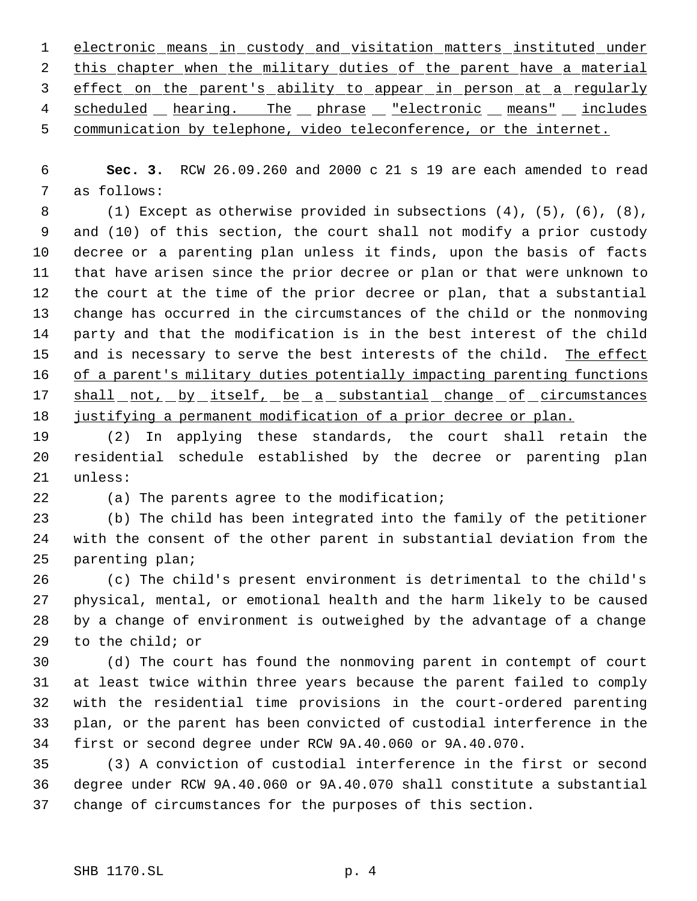electronic means in custody and visitation matters instituted under 2 this chapter when the military duties of the parent have a material effect on the parent's ability to appear in person at a regularly 4 scheduled hearing. The phrase "electronic means" includes communication by telephone, video teleconference, or the internet.

 **Sec. 3.** RCW 26.09.260 and 2000 c 21 s 19 are each amended to read as follows:

 (1) Except as otherwise provided in subsections (4), (5), (6), (8), and (10) of this section, the court shall not modify a prior custody decree or a parenting plan unless it finds, upon the basis of facts that have arisen since the prior decree or plan or that were unknown to the court at the time of the prior decree or plan, that a substantial change has occurred in the circumstances of the child or the nonmoving party and that the modification is in the best interest of the child 15 and is necessary to serve the best interests of the child. The effect 16 of a parent's military duties potentially impacting parenting functions 17 shall not, by itself, be a substantial change of circumstances justifying a permanent modification of a prior decree or plan.

 (2) In applying these standards, the court shall retain the residential schedule established by the decree or parenting plan unless:

(a) The parents agree to the modification;

 (b) The child has been integrated into the family of the petitioner with the consent of the other parent in substantial deviation from the parenting plan;

 (c) The child's present environment is detrimental to the child's physical, mental, or emotional health and the harm likely to be caused by a change of environment is outweighed by the advantage of a change to the child; or

 (d) The court has found the nonmoving parent in contempt of court at least twice within three years because the parent failed to comply with the residential time provisions in the court-ordered parenting plan, or the parent has been convicted of custodial interference in the first or second degree under RCW 9A.40.060 or 9A.40.070.

 (3) A conviction of custodial interference in the first or second degree under RCW 9A.40.060 or 9A.40.070 shall constitute a substantial change of circumstances for the purposes of this section.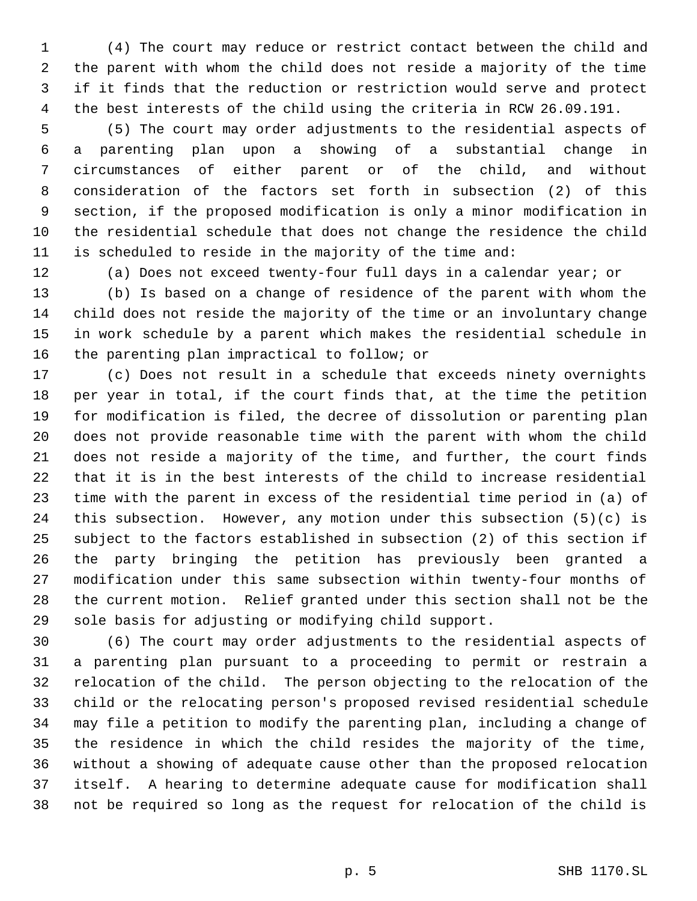(4) The court may reduce or restrict contact between the child and the parent with whom the child does not reside a majority of the time if it finds that the reduction or restriction would serve and protect the best interests of the child using the criteria in RCW 26.09.191.

 (5) The court may order adjustments to the residential aspects of a parenting plan upon a showing of a substantial change in circumstances of either parent or of the child, and without consideration of the factors set forth in subsection (2) of this section, if the proposed modification is only a minor modification in the residential schedule that does not change the residence the child is scheduled to reside in the majority of the time and:

(a) Does not exceed twenty-four full days in a calendar year; or

 (b) Is based on a change of residence of the parent with whom the child does not reside the majority of the time or an involuntary change in work schedule by a parent which makes the residential schedule in the parenting plan impractical to follow; or

 (c) Does not result in a schedule that exceeds ninety overnights per year in total, if the court finds that, at the time the petition for modification is filed, the decree of dissolution or parenting plan does not provide reasonable time with the parent with whom the child does not reside a majority of the time, and further, the court finds that it is in the best interests of the child to increase residential time with the parent in excess of the residential time period in (a) of this subsection. However, any motion under this subsection (5)(c) is subject to the factors established in subsection (2) of this section if the party bringing the petition has previously been granted a modification under this same subsection within twenty-four months of the current motion. Relief granted under this section shall not be the sole basis for adjusting or modifying child support.

 (6) The court may order adjustments to the residential aspects of a parenting plan pursuant to a proceeding to permit or restrain a relocation of the child. The person objecting to the relocation of the child or the relocating person's proposed revised residential schedule may file a petition to modify the parenting plan, including a change of the residence in which the child resides the majority of the time, without a showing of adequate cause other than the proposed relocation itself. A hearing to determine adequate cause for modification shall not be required so long as the request for relocation of the child is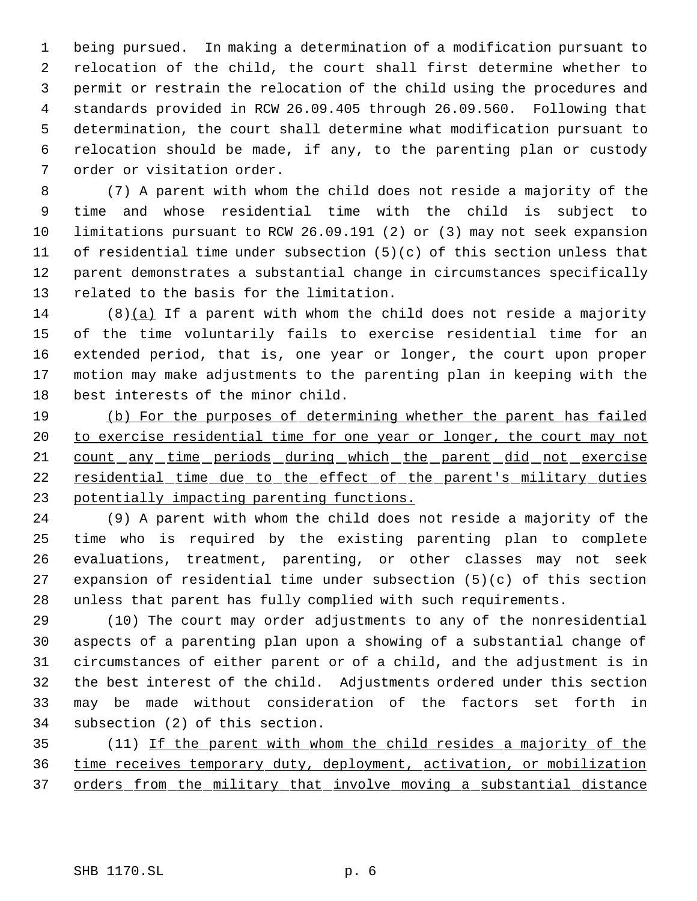being pursued. In making a determination of a modification pursuant to relocation of the child, the court shall first determine whether to permit or restrain the relocation of the child using the procedures and standards provided in RCW 26.09.405 through 26.09.560. Following that determination, the court shall determine what modification pursuant to relocation should be made, if any, to the parenting plan or custody order or visitation order.

 (7) A parent with whom the child does not reside a majority of the time and whose residential time with the child is subject to limitations pursuant to RCW 26.09.191 (2) or (3) may not seek expansion of residential time under subsection (5)(c) of this section unless that parent demonstrates a substantial change in circumstances specifically related to the basis for the limitation.

 (8)(a) If a parent with whom the child does not reside a majority of the time voluntarily fails to exercise residential time for an extended period, that is, one year or longer, the court upon proper motion may make adjustments to the parenting plan in keeping with the best interests of the minor child.

 (b) For the purposes of determining whether the parent has failed to exercise residential time for one year or longer, the court may not 21 count any time periods during which the parent did not exercise residential time due to the effect of the parent's military duties potentially impacting parenting functions.

 (9) A parent with whom the child does not reside a majority of the time who is required by the existing parenting plan to complete evaluations, treatment, parenting, or other classes may not seek expansion of residential time under subsection (5)(c) of this section unless that parent has fully complied with such requirements.

 (10) The court may order adjustments to any of the nonresidential aspects of a parenting plan upon a showing of a substantial change of circumstances of either parent or of a child, and the adjustment is in the best interest of the child. Adjustments ordered under this section may be made without consideration of the factors set forth in subsection (2) of this section.

 (11) If the parent with whom the child resides a majority of the time receives temporary duty, deployment, activation, or mobilization orders from the military that involve moving a substantial distance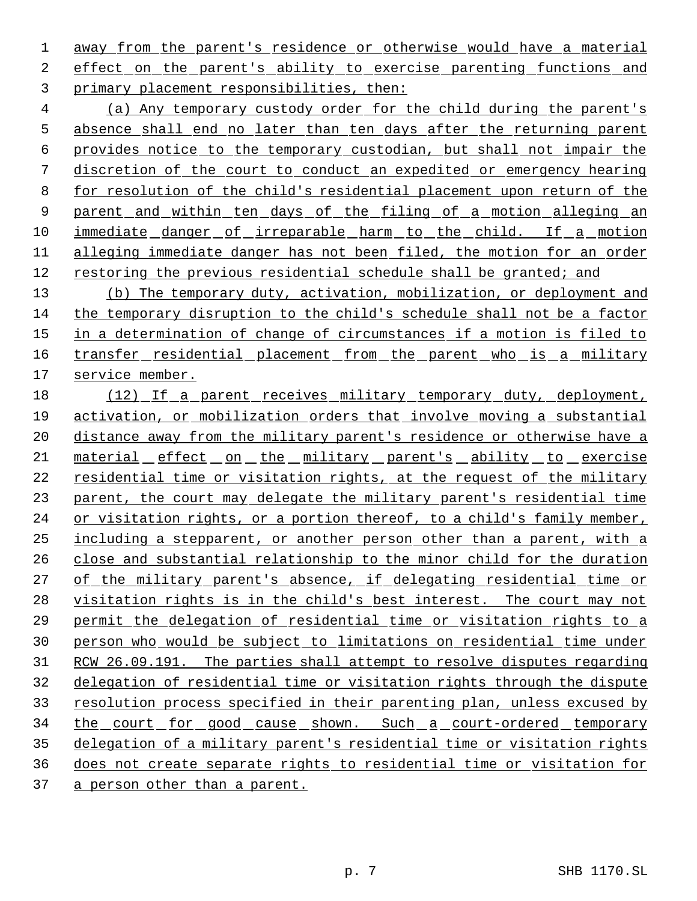1 away from the parent's residence or otherwise would have a material 2 effect on the parent's ability to exercise parenting functions and 3 primary placement responsibilities, then:

 4 (a) Any temporary custody order for the child during the parent's 5 absence shall end no later than ten days after the returning parent 6 provides notice to the temporary custodian, but shall not impair the 7 discretion of the court to conduct an expedited or emergency hearing 8 for resolution of the child's residential placement upon return of the 9 parent and within ten days of the filing of a motion alleging an 10 immediate danger of irreparable harm to the child. If a motion 11 alleging immediate danger has not been filed, the motion for an order 12 restoring the previous residential schedule shall be granted; and

13 (b) The temporary duty, activation, mobilization, or deployment and 14 the temporary disruption to the child's schedule shall not be a factor 15 in a determination of change of circumstances if a motion is filed to 16 transfer residential placement from the parent who is a military 17 service member.

18 (12) If a parent receives military temporary duty, deployment, 19 activation, or mobilization orders that involve moving a substantial 20 distance away from the military parent's residence or otherwise have a 21 material effect on the military parent's ability to exercise 22 residential time or visitation rights, at the request of the military 23 parent, the court may delegate the military parent's residential time 24 or visitation rights, or a portion thereof, to a child's family member, 25 including a stepparent, or another person other than a parent, with a 26 close and substantial relationship to the minor child for the duration 27 of the military parent's absence, if delegating residential time or 28 visitation rights is in the child's best interest. The court may not 29 permit the delegation of residential time or visitation rights to a 30 person who would be subject to limitations on residential time under 31 RCW 26.09.191. The parties shall attempt to resolve disputes regarding 32 delegation of residential time or visitation rights through the dispute 33 resolution process specified in their parenting plan, unless excused by 34 the court for good cause shown. Such a court-ordered temporary 35 delegation of a military parent's residential time or visitation rights 36 does not create separate rights to residential time or visitation for

37 a person other than a parent.